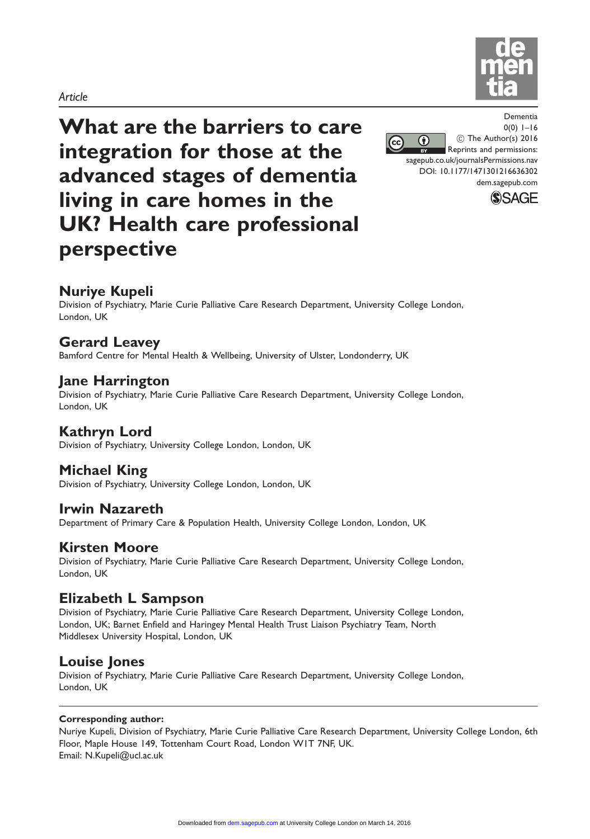# What are the barriers to care integration for those at the advanced stages of dementia living in care homes in the UK? Health care professional perspective



 $\left(\mathrm{cc}\right)$ 



# Nuriye Kupeli

Division of Psychiatry, Marie Curie Palliative Care Research Department, University College London, London, UK

# Gerard Leavey

Bamford Centre for Mental Health & Wellbeing, University of Ulster, Londonderry, UK

# Jane Harrington

Division of Psychiatry, Marie Curie Palliative Care Research Department, University College London, London, UK

# Kathryn Lord

Division of Psychiatry, University College London, London, UK

# Michael King

Division of Psychiatry, University College London, London, UK

#### Irwin Nazareth

Department of Primary Care & Population Health, University College London, London, UK

# Kirsten Moore

Division of Psychiatry, Marie Curie Palliative Care Research Department, University College London, London, UK

# Elizabeth L Sampson

Division of Psychiatry, Marie Curie Palliative Care Research Department, University College London, London, UK; Barnet Enfield and Haringey Mental Health Trust Liaison Psychiatry Team, North Middlesex University Hospital, London, UK

# Louise Jones

Division of Psychiatry, Marie Curie Palliative Care Research Department, University College London, London, UK

#### Corresponding author:

Nuriye Kupeli, Division of Psychiatry, Marie Curie Palliative Care Research Department, University College London, 6th Floor, Maple House 149, Tottenham Court Road, London W1T 7NF, UK. Email: N.Kupeli@ucl.ac.uk

#### Article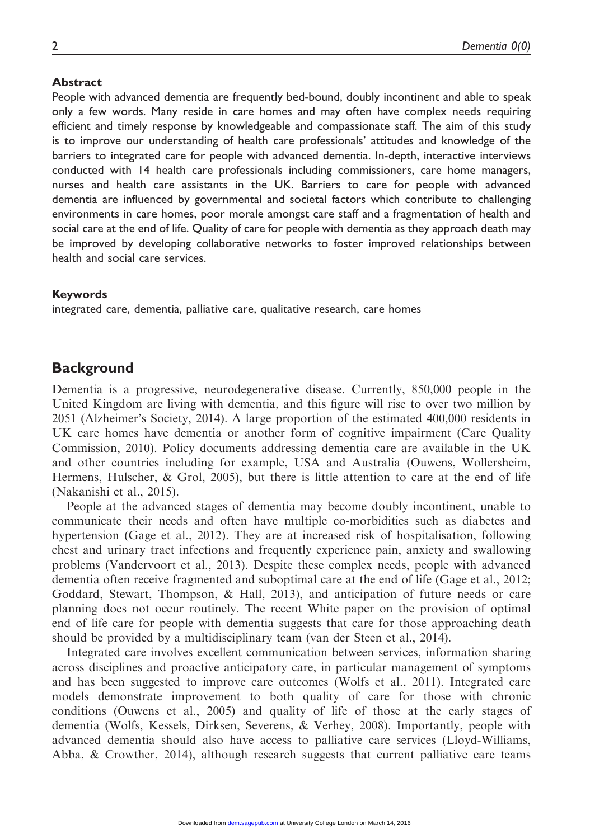#### Abstract

People with advanced dementia are frequently bed-bound, doubly incontinent and able to speak only a few words. Many reside in care homes and may often have complex needs requiring efficient and timely response by knowledgeable and compassionate staff. The aim of this study is to improve our understanding of health care professionals' attitudes and knowledge of the barriers to integrated care for people with advanced dementia. In-depth, interactive interviews conducted with 14 health care professionals including commissioners, care home managers, nurses and health care assistants in the UK. Barriers to care for people with advanced dementia are influenced by governmental and societal factors which contribute to challenging environments in care homes, poor morale amongst care staff and a fragmentation of health and social care at the end of life. Quality of care for people with dementia as they approach death may be improved by developing collaborative networks to foster improved relationships between health and social care services.

#### Keywords

integrated care, dementia, palliative care, qualitative research, care homes

#### **Background**

Dementia is a progressive, neurodegenerative disease. Currently, 850,000 people in the United Kingdom are living with dementia, and this figure will rise to over two million by 2051 (Alzheimer's Society, 2014). A large proportion of the estimated 400,000 residents in UK care homes have dementia or another form of cognitive impairment (Care Quality Commission, 2010). Policy documents addressing dementia care are available in the UK and other countries including for example, USA and Australia (Ouwens, Wollersheim, Hermens, Hulscher, & Grol, 2005), but there is little attention to care at the end of life (Nakanishi et al., 2015).

People at the advanced stages of dementia may become doubly incontinent, unable to communicate their needs and often have multiple co-morbidities such as diabetes and hypertension (Gage et al., 2012). They are at increased risk of hospitalisation, following chest and urinary tract infections and frequently experience pain, anxiety and swallowing problems (Vandervoort et al., 2013). Despite these complex needs, people with advanced dementia often receive fragmented and suboptimal care at the end of life (Gage et al., 2012; Goddard, Stewart, Thompson, & Hall, 2013), and anticipation of future needs or care planning does not occur routinely. The recent White paper on the provision of optimal end of life care for people with dementia suggests that care for those approaching death should be provided by a multidisciplinary team (van der Steen et al., 2014).

Integrated care involves excellent communication between services, information sharing across disciplines and proactive anticipatory care, in particular management of symptoms and has been suggested to improve care outcomes (Wolfs et al., 2011). Integrated care models demonstrate improvement to both quality of care for those with chronic conditions (Ouwens et al., 2005) and quality of life of those at the early stages of dementia (Wolfs, Kessels, Dirksen, Severens, & Verhey, 2008). Importantly, people with advanced dementia should also have access to palliative care services (Lloyd-Williams, Abba, & Crowther, 2014), although research suggests that current palliative care teams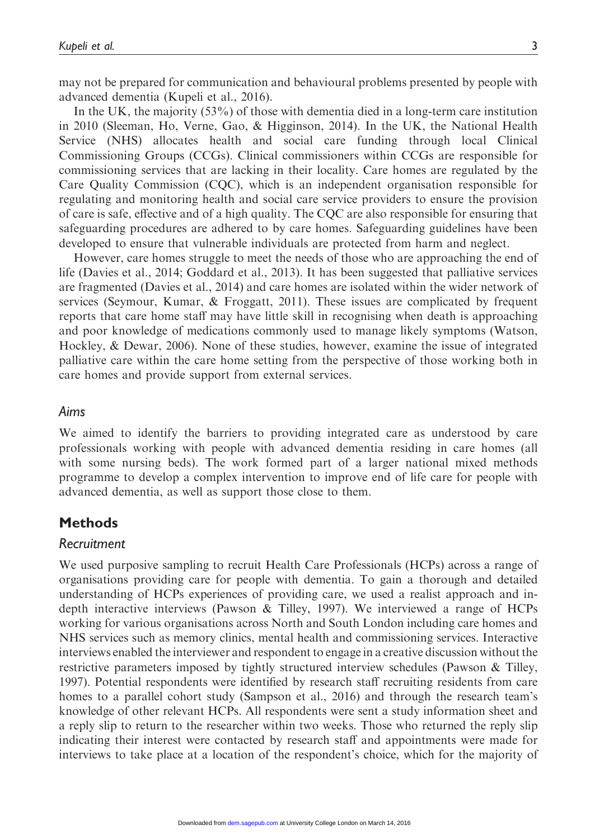may not be prepared for communication and behavioural problems presented by people with advanced dementia (Kupeli et al., 2016).

In the UK, the majority (53%) of those with dementia died in a long-term care institution in 2010 (Sleeman, Ho, Verne, Gao, & Higginson, 2014). In the UK, the National Health Service (NHS) allocates health and social care funding through local Clinical Commissioning Groups (CCGs). Clinical commissioners within CCGs are responsible for commissioning services that are lacking in their locality. Care homes are regulated by the Care Quality Commission (CQC), which is an independent organisation responsible for regulating and monitoring health and social care service providers to ensure the provision of care is safe, effective and of a high quality. The CQC are also responsible for ensuring that safeguarding procedures are adhered to by care homes. Safeguarding guidelines have been developed to ensure that vulnerable individuals are protected from harm and neglect.

However, care homes struggle to meet the needs of those who are approaching the end of life (Davies et al., 2014; Goddard et al., 2013). It has been suggested that palliative services are fragmented (Davies et al., 2014) and care homes are isolated within the wider network of services (Seymour, Kumar, & Froggatt, 2011). These issues are complicated by frequent reports that care home staff may have little skill in recognising when death is approaching and poor knowledge of medications commonly used to manage likely symptoms (Watson, Hockley, & Dewar, 2006). None of these studies, however, examine the issue of integrated palliative care within the care home setting from the perspective of those working both in care homes and provide support from external services.

#### Aims

We aimed to identify the barriers to providing integrated care as understood by care professionals working with people with advanced dementia residing in care homes (all with some nursing beds). The work formed part of a larger national mixed methods programme to develop a complex intervention to improve end of life care for people with advanced dementia, as well as support those close to them.

#### **Methods**

#### Recruitment

We used purposive sampling to recruit Health Care Professionals (HCPs) across a range of organisations providing care for people with dementia. To gain a thorough and detailed understanding of HCPs experiences of providing care, we used a realist approach and indepth interactive interviews (Pawson & Tilley, 1997). We interviewed a range of HCPs working for various organisations across North and South London including care homes and NHS services such as memory clinics, mental health and commissioning services. Interactive interviews enabled the interviewer and respondent to engage in a creative discussion without the restrictive parameters imposed by tightly structured interview schedules (Pawson & Tilley, 1997). Potential respondents were identified by research staff recruiting residents from care homes to a parallel cohort study (Sampson et al., 2016) and through the research team's knowledge of other relevant HCPs. All respondents were sent a study information sheet and a reply slip to return to the researcher within two weeks. Those who returned the reply slip indicating their interest were contacted by research staff and appointments were made for interviews to take place at a location of the respondent's choice, which for the majority of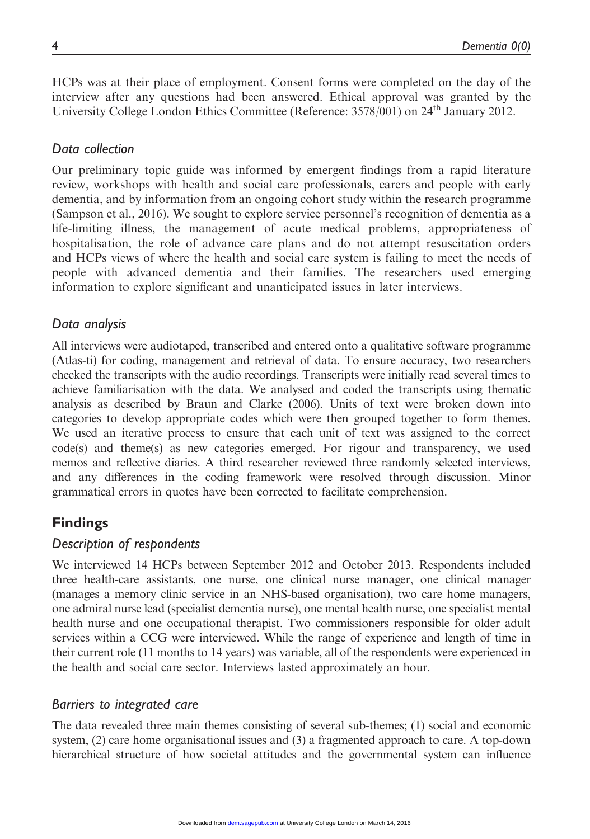HCPs was at their place of employment. Consent forms were completed on the day of the interview after any questions had been answered. Ethical approval was granted by the University College London Ethics Committee (Reference: 3578/001) on 24th January 2012.

#### Data collection

Our preliminary topic guide was informed by emergent findings from a rapid literature review, workshops with health and social care professionals, carers and people with early dementia, and by information from an ongoing cohort study within the research programme (Sampson et al., 2016). We sought to explore service personnel's recognition of dementia as a life-limiting illness, the management of acute medical problems, appropriateness of hospitalisation, the role of advance care plans and do not attempt resuscitation orders and HCPs views of where the health and social care system is failing to meet the needs of people with advanced dementia and their families. The researchers used emerging information to explore significant and unanticipated issues in later interviews.

### Data analysis

All interviews were audiotaped, transcribed and entered onto a qualitative software programme (Atlas-ti) for coding, management and retrieval of data. To ensure accuracy, two researchers checked the transcripts with the audio recordings. Transcripts were initially read several times to achieve familiarisation with the data. We analysed and coded the transcripts using thematic analysis as described by Braun and Clarke (2006). Units of text were broken down into categories to develop appropriate codes which were then grouped together to form themes. We used an iterative process to ensure that each unit of text was assigned to the correct  $code(s)$  and theme $(s)$  as new categories emerged. For rigour and transparency, we used memos and reflective diaries. A third researcher reviewed three randomly selected interviews, and any differences in the coding framework were resolved through discussion. Minor grammatical errors in quotes have been corrected to facilitate comprehension.

# Findings

#### Description of respondents

We interviewed 14 HCPs between September 2012 and October 2013. Respondents included three health-care assistants, one nurse, one clinical nurse manager, one clinical manager (manages a memory clinic service in an NHS-based organisation), two care home managers, one admiral nurse lead (specialist dementia nurse), one mental health nurse, one specialist mental health nurse and one occupational therapist. Two commissioners responsible for older adult services within a CCG were interviewed. While the range of experience and length of time in their current role (11 months to 14 years) was variable, all of the respondents were experienced in the health and social care sector. Interviews lasted approximately an hour.

#### Barriers to integrated care

The data revealed three main themes consisting of several sub-themes; (1) social and economic system, (2) care home organisational issues and (3) a fragmented approach to care. A top-down hierarchical structure of how societal attitudes and the governmental system can influence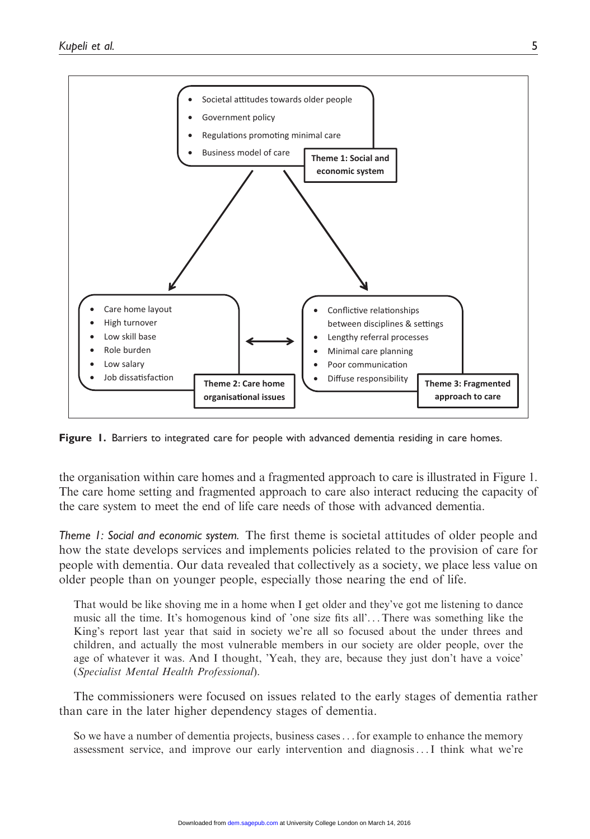

Figure 1. Barriers to integrated care for people with advanced dementia residing in care homes.

the organisation within care homes and a fragmented approach to care is illustrated in Figure 1. The care home setting and fragmented approach to care also interact reducing the capacity of the care system to meet the end of life care needs of those with advanced dementia.

Theme 1: Social and economic system. The first theme is societal attitudes of older people and how the state develops services and implements policies related to the provision of care for people with dementia. Our data revealed that collectively as a society, we place less value on older people than on younger people, especially those nearing the end of life.

That would be like shoving me in a home when I get older and they've got me listening to dance music all the time. It's homogenous kind of 'one size fits all'...There was something like the King's report last year that said in society we're all so focused about the under threes and children, and actually the most vulnerable members in our society are older people, over the age of whatever it was. And I thought, 'Yeah, they are, because they just don't have a voice' (Specialist Mental Health Professional).

The commissioners were focused on issues related to the early stages of dementia rather than care in the later higher dependency stages of dementia.

So we have a number of dementia projects, business cases...for example to enhance the memory assessment service, and improve our early intervention and diagnosis...I think what we're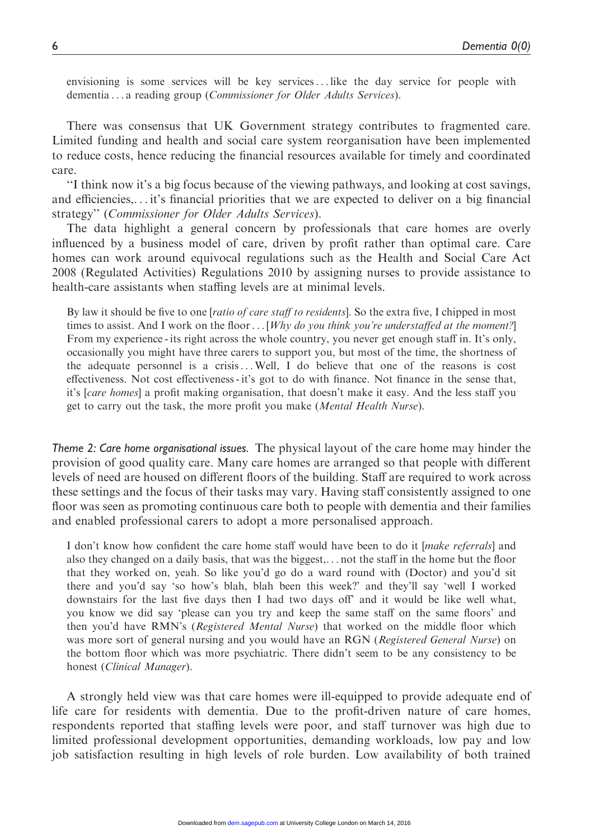envisioning is some services will be key services... like the day service for people with dementia ... a reading group (Commissioner for Older Adults Services).

There was consensus that UK Government strategy contributes to fragmented care. Limited funding and health and social care system reorganisation have been implemented to reduce costs, hence reducing the financial resources available for timely and coordinated care.

''I think now it's a big focus because of the viewing pathways, and looking at cost savings, and efficiencies,... it's financial priorities that we are expected to deliver on a big financial strategy'' (Commissioner for Older Adults Services).

The data highlight a general concern by professionals that care homes are overly influenced by a business model of care, driven by profit rather than optimal care. Care homes can work around equivocal regulations such as the Health and Social Care Act 2008 (Regulated Activities) Regulations 2010 by assigning nurses to provide assistance to health-care assistants when staffing levels are at minimal levels.

By law it should be five to one [*ratio of care staff to residents*]. So the extra five, I chipped in most times to assist. And I work on the floor  $\dots$  [Why do you think you're understaffed at the moment?] From my experience - its right across the whole country, you never get enough staff in. It's only, occasionally you might have three carers to support you, but most of the time, the shortness of the adequate personnel is a crisis... Well, I do believe that one of the reasons is cost effectiveness. Not cost effectiveness - it's got to do with finance. Not finance in the sense that, it's [*care homes*] a profit making organisation, that doesn't make it easy. And the less staff you get to carry out the task, the more profit you make (Mental Health Nurse).

Theme 2: Care home organisational issues. The physical layout of the care home may hinder the provision of good quality care. Many care homes are arranged so that people with different levels of need are housed on different floors of the building. Staff are required to work across these settings and the focus of their tasks may vary. Having staff consistently assigned to one floor was seen as promoting continuous care both to people with dementia and their families and enabled professional carers to adopt a more personalised approach.

I don't know how confident the care home staff would have been to do it [make referrals] and also they changed on a daily basis, that was the biggest,... not the staff in the home but the floor that they worked on, yeah. So like you'd go do a ward round with (Doctor) and you'd sit there and you'd say 'so how's blah, blah been this week?' and they'll say 'well I worked downstairs for the last five days then I had two days off' and it would be like well what, you know we did say 'please can you try and keep the same staff on the same floors' and then you'd have RMN's (Registered Mental Nurse) that worked on the middle floor which was more sort of general nursing and you would have an RGN (Registered General Nurse) on the bottom floor which was more psychiatric. There didn't seem to be any consistency to be honest (Clinical Manager).

A strongly held view was that care homes were ill-equipped to provide adequate end of life care for residents with dementia. Due to the profit-driven nature of care homes, respondents reported that staffing levels were poor, and staff turnover was high due to limited professional development opportunities, demanding workloads, low pay and low job satisfaction resulting in high levels of role burden. Low availability of both trained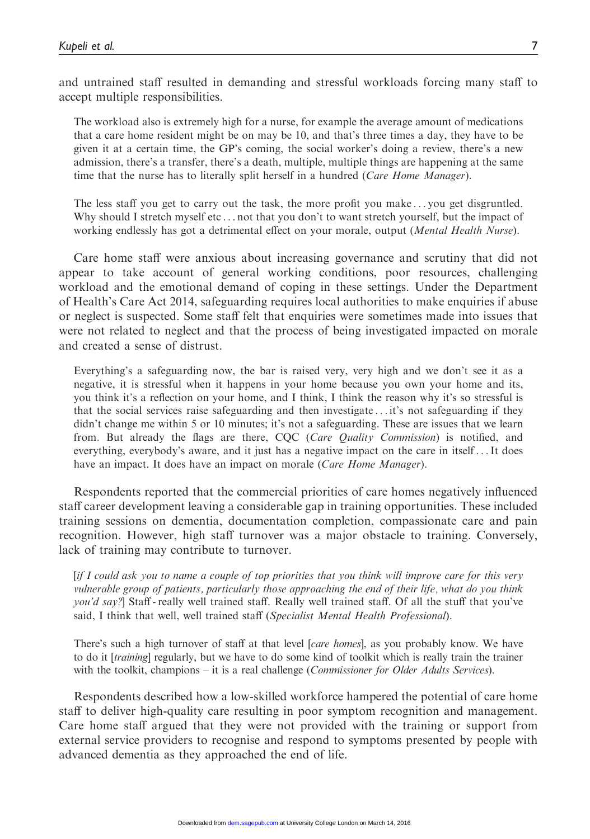and untrained staff resulted in demanding and stressful workloads forcing many staff to accept multiple responsibilities.

The workload also is extremely high for a nurse, for example the average amount of medications that a care home resident might be on may be 10, and that's three times a day, they have to be given it at a certain time, the GP's coming, the social worker's doing a review, there's a new admission, there's a transfer, there's a death, multiple, multiple things are happening at the same time that the nurse has to literally split herself in a hundred (Care Home Manager).

The less staff you get to carry out the task, the more profit you make ... you get disgruntled. Why should I stretch myself etc... not that you don't to want stretch yourself, but the impact of working endlessly has got a detrimental effect on your morale, output (Mental Health Nurse).

Care home staff were anxious about increasing governance and scrutiny that did not appear to take account of general working conditions, poor resources, challenging workload and the emotional demand of coping in these settings. Under the Department of Health's Care Act 2014, safeguarding requires local authorities to make enquiries if abuse or neglect is suspected. Some staff felt that enquiries were sometimes made into issues that were not related to neglect and that the process of being investigated impacted on morale and created a sense of distrust.

Everything's a safeguarding now, the bar is raised very, very high and we don't see it as a negative, it is stressful when it happens in your home because you own your home and its, you think it's a reflection on your home, and I think, I think the reason why it's so stressful is that the social services raise safeguarding and then investigate ... it's not safeguarding if they didn't change me within 5 or 10 minutes; it's not a safeguarding. These are issues that we learn from. But already the flags are there, CQC (Care Quality Commission) is notified, and everything, everybody's aware, and it just has a negative impact on the care in itself ...It does have an impact. It does have an impact on morale (Care Home Manager).

Respondents reported that the commercial priorities of care homes negatively influenced staff career development leaving a considerable gap in training opportunities. These included training sessions on dementia, documentation completion, compassionate care and pain recognition. However, high staff turnover was a major obstacle to training. Conversely, lack of training may contribute to turnover.

[if I could ask you to name a couple of top priorities that you think will improve care for this very vulnerable group of patients, particularly those approaching the end of their life, what do you think you'd say?] Staff - really well trained staff. Really well trained staff. Of all the stuff that you've said, I think that well, well trained staff (Specialist Mental Health Professional).

There's such a high turnover of staff at that level [*care homes*], as you probably know. We have to do it [training] regularly, but we have to do some kind of toolkit which is really train the trainer with the toolkit, champions – it is a real challenge (*Commissioner for Older Adults Services*).

Respondents described how a low-skilled workforce hampered the potential of care home staff to deliver high-quality care resulting in poor symptom recognition and management. Care home staff argued that they were not provided with the training or support from external service providers to recognise and respond to symptoms presented by people with advanced dementia as they approached the end of life.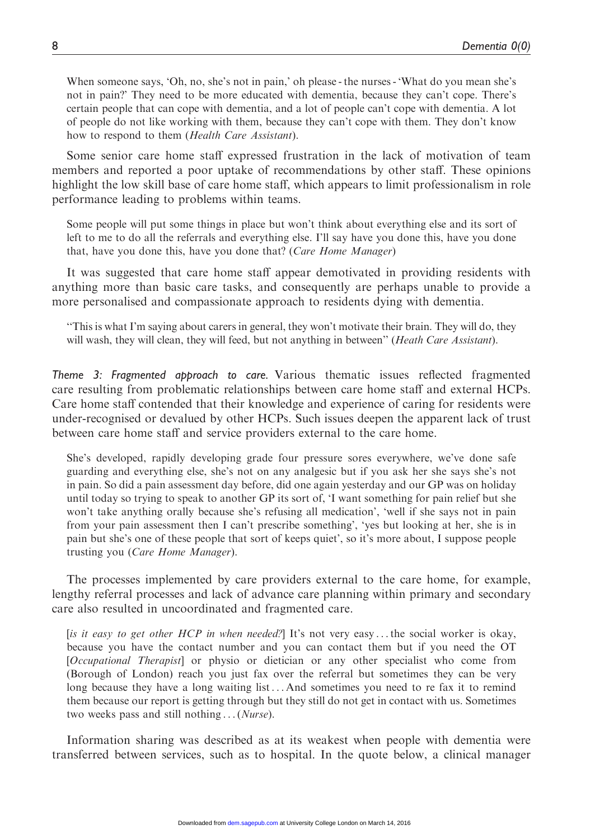When someone says, 'Oh, no, she's not in pain,' oh please - the nurses - 'What do you mean she's not in pain?' They need to be more educated with dementia, because they can't cope. There's certain people that can cope with dementia, and a lot of people can't cope with dementia. A lot of people do not like working with them, because they can't cope with them. They don't know how to respond to them (Health Care Assistant).

Some senior care home staff expressed frustration in the lack of motivation of team members and reported a poor uptake of recommendations by other staff. These opinions highlight the low skill base of care home staff, which appears to limit professionalism in role performance leading to problems within teams.

Some people will put some things in place but won't think about everything else and its sort of left to me to do all the referrals and everything else. I'll say have you done this, have you done that, have you done this, have you done that? (Care Home Manager)

It was suggested that care home staff appear demotivated in providing residents with anything more than basic care tasks, and consequently are perhaps unable to provide a more personalised and compassionate approach to residents dying with dementia.

''This is what I'm saying about carers in general, they won't motivate their brain. They will do, they will wash, they will clean, they will feed, but not anything in between" (*Heath Care Assistant*).

Theme 3: Fragmented approach to care. Various thematic issues reflected fragmented care resulting from problematic relationships between care home staff and external HCPs. Care home staff contended that their knowledge and experience of caring for residents were under-recognised or devalued by other HCPs. Such issues deepen the apparent lack of trust between care home staff and service providers external to the care home.

She's developed, rapidly developing grade four pressure sores everywhere, we've done safe guarding and everything else, she's not on any analgesic but if you ask her she says she's not in pain. So did a pain assessment day before, did one again yesterday and our GP was on holiday until today so trying to speak to another GP its sort of, 'I want something for pain relief but she won't take anything orally because she's refusing all medication', 'well if she says not in pain from your pain assessment then I can't prescribe something', 'yes but looking at her, she is in pain but she's one of these people that sort of keeps quiet', so it's more about, I suppose people trusting you (Care Home Manager).

The processes implemented by care providers external to the care home, for example, lengthy referral processes and lack of advance care planning within primary and secondary care also resulted in uncoordinated and fragmented care.

[is it easy to get other HCP in when needed?] It's not very easy ... the social worker is okay, because you have the contact number and you can contact them but if you need the OT [Occupational Therapist] or physio or dietician or any other specialist who come from (Borough of London) reach you just fax over the referral but sometimes they can be very long because they have a long waiting list... And sometimes you need to re fax it to remind them because our report is getting through but they still do not get in contact with us. Sometimes two weeks pass and still nothing ...(Nurse).

Information sharing was described as at its weakest when people with dementia were transferred between services, such as to hospital. In the quote below, a clinical manager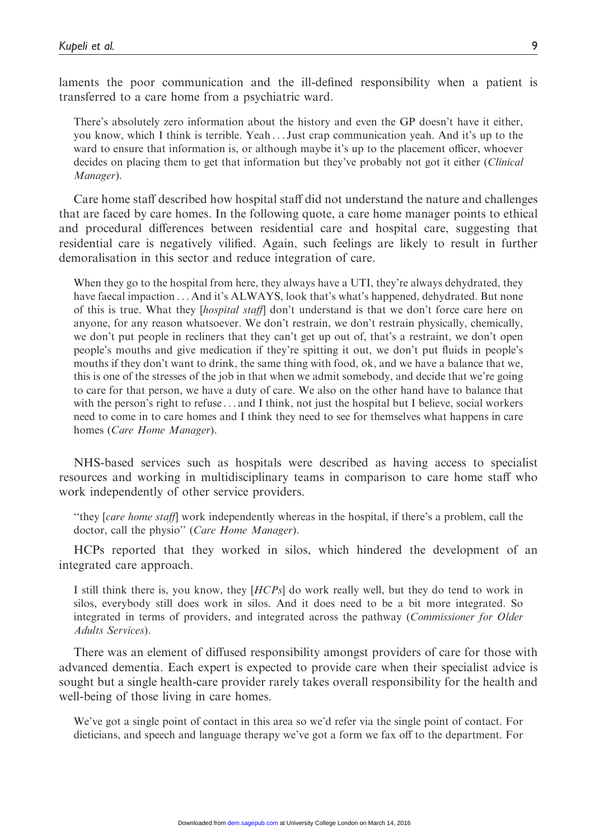laments the poor communication and the ill-defined responsibility when a patient is transferred to a care home from a psychiatric ward.

There's absolutely zero information about the history and even the GP doesn't have it either, you know, which I think is terrible. Yeah ... Just crap communication yeah. And it's up to the ward to ensure that information is, or although maybe it's up to the placement officer, whoever decides on placing them to get that information but they've probably not got it either (Clinical Manager).

Care home staff described how hospital staff did not understand the nature and challenges that are faced by care homes. In the following quote, a care home manager points to ethical and procedural differences between residential care and hospital care, suggesting that residential care is negatively vilified. Again, such feelings are likely to result in further demoralisation in this sector and reduce integration of care.

When they go to the hospital from here, they always have a UTI, they're always dehydrated, they have faecal impaction ... And it's ALWAYS, look that's what's happened, dehydrated. But none of this is true. What they [hospital staff] don't understand is that we don't force care here on anyone, for any reason whatsoever. We don't restrain, we don't restrain physically, chemically, we don't put people in recliners that they can't get up out of, that's a restraint, we don't open people's mouths and give medication if they're spitting it out, we don't put fluids in people's mouths if they don't want to drink, the same thing with food, ok, and we have a balance that we, this is one of the stresses of the job in that when we admit somebody, and decide that we're going to care for that person, we have a duty of care. We also on the other hand have to balance that with the person's right to refuse ... and I think, not just the hospital but I believe, social workers need to come in to care homes and I think they need to see for themselves what happens in care homes (Care Home Manager).

NHS-based services such as hospitals were described as having access to specialist resources and working in multidisciplinary teams in comparison to care home staff who work independently of other service providers.

''they [care home staff] work independently whereas in the hospital, if there's a problem, call the doctor, call the physio'' (Care Home Manager).

HCPs reported that they worked in silos, which hindered the development of an integrated care approach.

I still think there is, you know, they [HCPs] do work really well, but they do tend to work in silos, everybody still does work in silos. And it does need to be a bit more integrated. So integrated in terms of providers, and integrated across the pathway (Commissioner for Older Adults Services).

There was an element of diffused responsibility amongst providers of care for those with advanced dementia. Each expert is expected to provide care when their specialist advice is sought but a single health-care provider rarely takes overall responsibility for the health and well-being of those living in care homes.

We've got a single point of contact in this area so we'd refer via the single point of contact. For dieticians, and speech and language therapy we've got a form we fax off to the department. For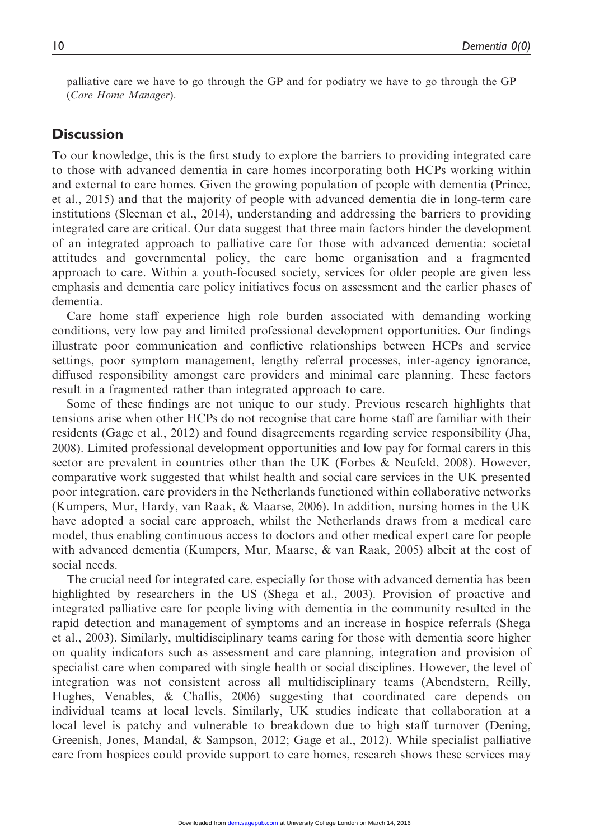palliative care we have to go through the GP and for podiatry we have to go through the GP (Care Home Manager).

### **Discussion**

To our knowledge, this is the first study to explore the barriers to providing integrated care to those with advanced dementia in care homes incorporating both HCPs working within and external to care homes. Given the growing population of people with dementia (Prince, et al., 2015) and that the majority of people with advanced dementia die in long-term care institutions (Sleeman et al., 2014), understanding and addressing the barriers to providing integrated care are critical. Our data suggest that three main factors hinder the development of an integrated approach to palliative care for those with advanced dementia: societal attitudes and governmental policy, the care home organisation and a fragmented approach to care. Within a youth-focused society, services for older people are given less emphasis and dementia care policy initiatives focus on assessment and the earlier phases of dementia.

Care home staff experience high role burden associated with demanding working conditions, very low pay and limited professional development opportunities. Our findings illustrate poor communication and conflictive relationships between HCPs and service settings, poor symptom management, lengthy referral processes, inter-agency ignorance, diffused responsibility amongst care providers and minimal care planning. These factors result in a fragmented rather than integrated approach to care.

Some of these findings are not unique to our study. Previous research highlights that tensions arise when other HCPs do not recognise that care home staff are familiar with their residents (Gage et al., 2012) and found disagreements regarding service responsibility (Jha, 2008). Limited professional development opportunities and low pay for formal carers in this sector are prevalent in countries other than the UK (Forbes & Neufeld, 2008). However, comparative work suggested that whilst health and social care services in the UK presented poor integration, care providers in the Netherlands functioned within collaborative networks (Kumpers, Mur, Hardy, van Raak, & Maarse, 2006). In addition, nursing homes in the UK have adopted a social care approach, whilst the Netherlands draws from a medical care model, thus enabling continuous access to doctors and other medical expert care for people with advanced dementia (Kumpers, Mur, Maarse, & van Raak, 2005) albeit at the cost of social needs.

The crucial need for integrated care, especially for those with advanced dementia has been highlighted by researchers in the US (Shega et al., 2003). Provision of proactive and integrated palliative care for people living with dementia in the community resulted in the rapid detection and management of symptoms and an increase in hospice referrals (Shega et al., 2003). Similarly, multidisciplinary teams caring for those with dementia score higher on quality indicators such as assessment and care planning, integration and provision of specialist care when compared with single health or social disciplines. However, the level of integration was not consistent across all multidisciplinary teams (Abendstern, Reilly, Hughes, Venables, & Challis, 2006) suggesting that coordinated care depends on individual teams at local levels. Similarly, UK studies indicate that collaboration at a local level is patchy and vulnerable to breakdown due to high staff turnover (Dening, Greenish, Jones, Mandal, & Sampson, 2012; Gage et al., 2012). While specialist palliative care from hospices could provide support to care homes, research shows these services may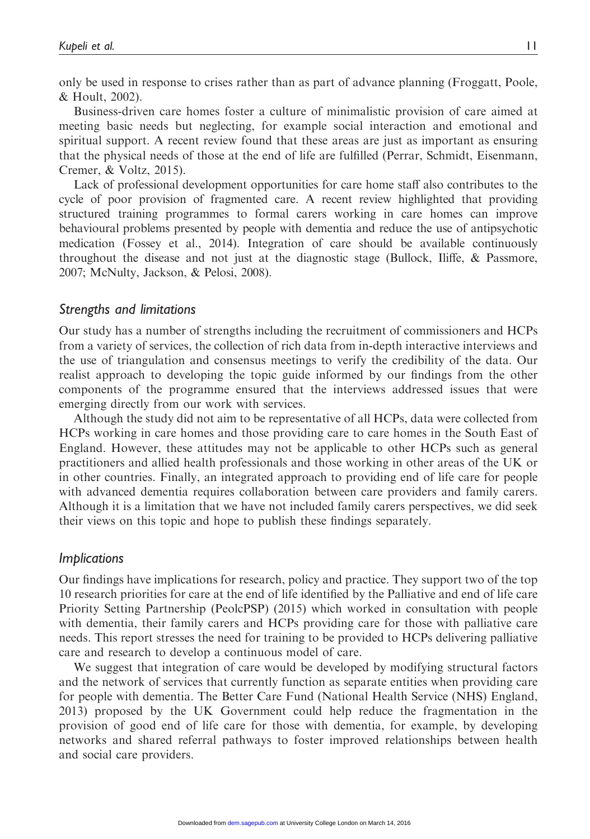only be used in response to crises rather than as part of advance planning (Froggatt, Poole, & Hoult, 2002).

Business-driven care homes foster a culture of minimalistic provision of care aimed at meeting basic needs but neglecting, for example social interaction and emotional and spiritual support. A recent review found that these areas are just as important as ensuring that the physical needs of those at the end of life are fulfilled (Perrar, Schmidt, Eisenmann, Cremer, & Voltz, 2015).

Lack of professional development opportunities for care home staff also contributes to the cycle of poor provision of fragmented care. A recent review highlighted that providing structured training programmes to formal carers working in care homes can improve behavioural problems presented by people with dementia and reduce the use of antipsychotic medication (Fossey et al., 2014). Integration of care should be available continuously throughout the disease and not just at the diagnostic stage (Bullock, Iliffe, & Passmore, 2007; McNulty, Jackson, & Pelosi, 2008).

#### Strengths and limitations

Our study has a number of strengths including the recruitment of commissioners and HCPs from a variety of services, the collection of rich data from in-depth interactive interviews and the use of triangulation and consensus meetings to verify the credibility of the data. Our realist approach to developing the topic guide informed by our findings from the other components of the programme ensured that the interviews addressed issues that were emerging directly from our work with services.

Although the study did not aim to be representative of all HCPs, data were collected from HCPs working in care homes and those providing care to care homes in the South East of England. However, these attitudes may not be applicable to other HCPs such as general practitioners and allied health professionals and those working in other areas of the UK or in other countries. Finally, an integrated approach to providing end of life care for people with advanced dementia requires collaboration between care providers and family carers. Although it is a limitation that we have not included family carers perspectives, we did seek their views on this topic and hope to publish these findings separately.

#### Implications

Our findings have implications for research, policy and practice. They support two of the top 10 research priorities for care at the end of life identified by the Palliative and end of life care Priority Setting Partnership (PeolcPSP) (2015) which worked in consultation with people with dementia, their family carers and HCPs providing care for those with palliative care needs. This report stresses the need for training to be provided to HCPs delivering palliative care and research to develop a continuous model of care.

We suggest that integration of care would be developed by modifying structural factors and the network of services that currently function as separate entities when providing care for people with dementia. The Better Care Fund (National Health Service (NHS) England, 2013) proposed by the UK Government could help reduce the fragmentation in the provision of good end of life care for those with dementia, for example, by developing networks and shared referral pathways to foster improved relationships between health and social care providers.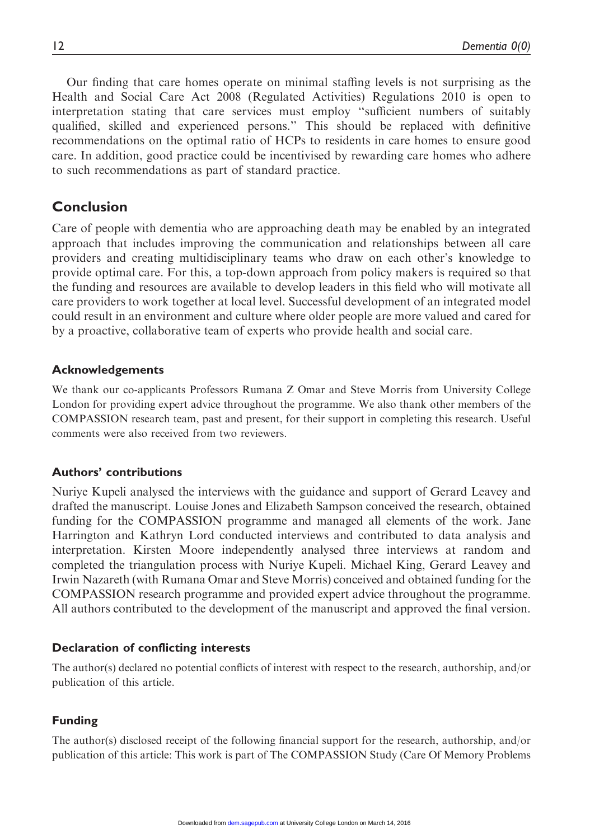Our finding that care homes operate on minimal staffing levels is not surprising as the Health and Social Care Act 2008 (Regulated Activities) Regulations 2010 is open to interpretation stating that care services must employ ''sufficient numbers of suitably qualified, skilled and experienced persons.'' This should be replaced with definitive recommendations on the optimal ratio of HCPs to residents in care homes to ensure good care. In addition, good practice could be incentivised by rewarding care homes who adhere to such recommendations as part of standard practice.

# Conclusion

Care of people with dementia who are approaching death may be enabled by an integrated approach that includes improving the communication and relationships between all care providers and creating multidisciplinary teams who draw on each other's knowledge to provide optimal care. For this, a top-down approach from policy makers is required so that the funding and resources are available to develop leaders in this field who will motivate all care providers to work together at local level. Successful development of an integrated model could result in an environment and culture where older people are more valued and cared for by a proactive, collaborative team of experts who provide health and social care.

#### Acknowledgements

We thank our co-applicants Professors Rumana Z Omar and Steve Morris from University College London for providing expert advice throughout the programme. We also thank other members of the COMPASSION research team, past and present, for their support in completing this research. Useful comments were also received from two reviewers.

#### Authors' contributions

Nuriye Kupeli analysed the interviews with the guidance and support of Gerard Leavey and drafted the manuscript. Louise Jones and Elizabeth Sampson conceived the research, obtained funding for the COMPASSION programme and managed all elements of the work. Jane Harrington and Kathryn Lord conducted interviews and contributed to data analysis and interpretation. Kirsten Moore independently analysed three interviews at random and completed the triangulation process with Nuriye Kupeli. Michael King, Gerard Leavey and Irwin Nazareth (with Rumana Omar and Steve Morris) conceived and obtained funding for the COMPASSION research programme and provided expert advice throughout the programme. All authors contributed to the development of the manuscript and approved the final version.

#### Declaration of conflicting interests

The author(s) declared no potential conflicts of interest with respect to the research, authorship, and/or publication of this article.

#### Funding

The author(s) disclosed receipt of the following financial support for the research, authorship, and/or publication of this article: This work is part of The COMPASSION Study (Care Of Memory Problems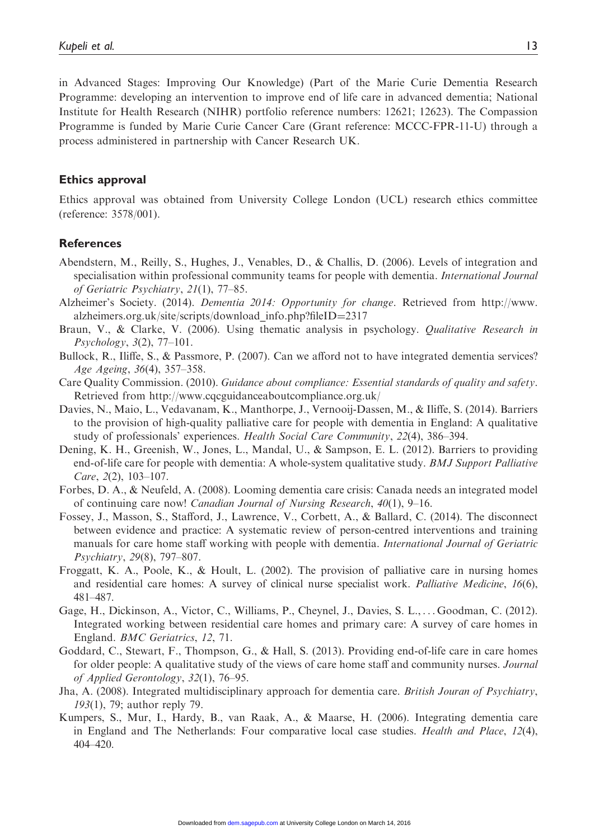in Advanced Stages: Improving Our Knowledge) (Part of the Marie Curie Dementia Research Programme: developing an intervention to improve end of life care in advanced dementia; National Institute for Health Research (NIHR) portfolio reference numbers: 12621; 12623). The Compassion Programme is funded by Marie Curie Cancer Care (Grant reference: MCCC-FPR-11-U) through a process administered in partnership with Cancer Research UK.

#### Ethics approval

Ethics approval was obtained from University College London (UCL) research ethics committee (reference: 3578/001).

#### References

- Abendstern, M., Reilly, S., Hughes, J., Venables, D., & Challis, D. (2006). Levels of integration and specialisation within professional community teams for people with dementia. *International Journal* of Geriatric Psychiatry, 21(1), 77–85.
- Alzheimer's Society. (2014). Dementia 2014: Opportunity for change. Retrieved from [http://www.](http://www.alzheimers.org.uk/site/scripts/download_info.php?fileID=2317) [alzheimers.org.uk/site/scripts/download\\_info.php?fileID](http://www.alzheimers.org.uk/site/scripts/download_info.php?fileID=2317)= $2317$
- Braun, V., & Clarke, V. (2006). Using thematic analysis in psychology. Qualitative Research in Psychology, 3(2), 77–101.
- Bullock, R., Iliffe, S., & Passmore, P. (2007). Can we afford not to have integrated dementia services? Age Ageing, 36(4), 357–358.
- Care Quality Commission. (2010). Guidance about compliance: Essential standards of quality and safety. Retrieved from<http://www.cqcguidanceaboutcompliance.org.uk/>
- Davies, N., Maio, L., Vedavanam, K., Manthorpe, J., Vernooij-Dassen, M., & Iliffe, S. (2014). Barriers to the provision of high-quality palliative care for people with dementia in England: A qualitative study of professionals' experiences. Health Social Care Community, 22(4), 386–394.
- Dening, K. H., Greenish, W., Jones, L., Mandal, U., & Sampson, E. L. (2012). Barriers to providing end-of-life care for people with dementia: A whole-system qualitative study. BMJ Support Palliative Care, 2(2), 103–107.
- Forbes, D. A., & Neufeld, A. (2008). Looming dementia care crisis: Canada needs an integrated model of continuing care now! Canadian Journal of Nursing Research, 40(1), 9–16.
- Fossey, J., Masson, S., Stafford, J., Lawrence, V., Corbett, A., & Ballard, C. (2014). The disconnect between evidence and practice: A systematic review of person-centred interventions and training manuals for care home staff working with people with dementia. International Journal of Geriatric Psychiatry, 29(8), 797–807.
- Froggatt, K. A., Poole, K., & Hoult, L. (2002). The provision of palliative care in nursing homes and residential care homes: A survey of clinical nurse specialist work. Palliative Medicine, 16(6), 481–487.
- Gage, H., Dickinson, A., Victor, C., Williams, P., Cheynel, J., Davies, S. L., ... Goodman, C. (2012). Integrated working between residential care homes and primary care: A survey of care homes in England. BMC Geriatrics, 12, 71.
- Goddard, C., Stewart, F., Thompson, G., & Hall, S. (2013). Providing end-of-life care in care homes for older people: A qualitative study of the views of care home staff and community nurses. Journal of Applied Gerontology, 32(1), 76–95.
- Jha, A. (2008). Integrated multidisciplinary approach for dementia care. British Jouran of Psychiatry, 193(1), 79; author reply 79.
- Kumpers, S., Mur, I., Hardy, B., van Raak, A., & Maarse, H. (2006). Integrating dementia care in England and The Netherlands: Four comparative local case studies. Health and Place, 12(4), 404–420.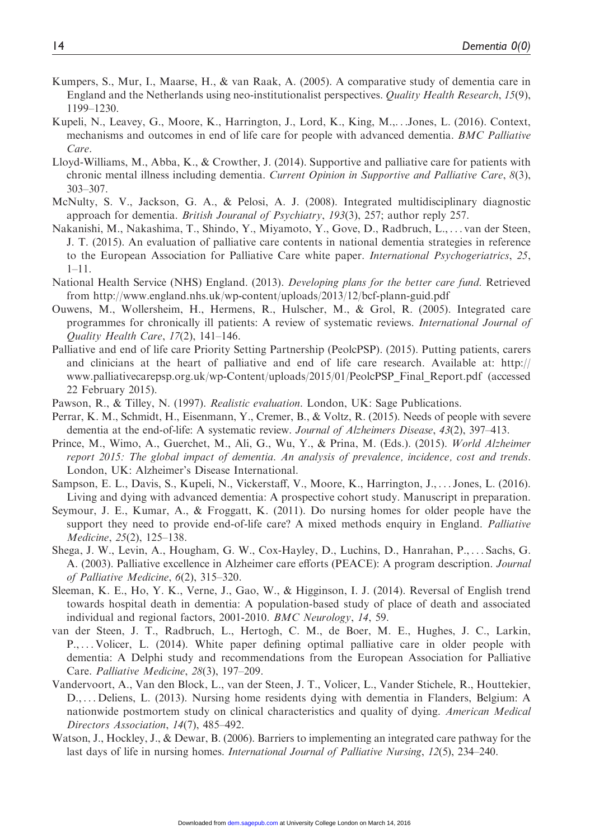- Kumpers, S., Mur, I., Maarse, H., & van Raak, A. (2005). A comparative study of dementia care in England and the Netherlands using neo-institutionalist perspectives. Quality Health Research, 15(9), 1199–1230.
- Kupeli, N., Leavey, G., Moore, K., Harrington, J., Lord, K., King, M.,...Jones, L. (2016). Context, mechanisms and outcomes in end of life care for people with advanced dementia. BMC Palliative Care.
- Lloyd-Williams, M., Abba, K., & Crowther, J. (2014). Supportive and palliative care for patients with chronic mental illness including dementia. Current Opinion in Supportive and Palliative Care, 8(3), 303–307.
- McNulty, S. V., Jackson, G. A., & Pelosi, A. J. (2008). Integrated multidisciplinary diagnostic approach for dementia. British Jouranal of Psychiatry, 193(3), 257; author reply 257.
- Nakanishi, M., Nakashima, T., Shindo, Y., Miyamoto, Y., Gove, D., Radbruch, L., ... van der Steen, J. T. (2015). An evaluation of palliative care contents in national dementia strategies in reference to the European Association for Palliative Care white paper. International Psychogeriatrics, 25, 1–11.
- National Health Service (NHS) England. (2013). Developing plans for the better care fund. Retrieved from<http://www.england.nhs.uk/wp-content/uploads/2013/12/bcf-plann-guid.pdf>
- Ouwens, M., Wollersheim, H., Hermens, R., Hulscher, M., & Grol, R. (2005). Integrated care programmes for chronically ill patients: A review of systematic reviews. International Journal of Quality Health Care, 17(2), 141–146.
- Palliative and end of life care Priority Setting Partnership (PeolcPSP). (2015). Putting patients, carers and clinicians at the heart of palliative and end of life care research. Available at: [http://](http://www.palliativecarepsp.org.uk/wp-Content/uploads/2015/01/PeolcPSP_Final_Report.pdf) [www.palliativecarepsp.org.uk/wp-Content/uploads/2015/01/PeolcPSP\\_Final\\_Report.pdf](http://www.palliativecarepsp.org.uk/wp-Content/uploads/2015/01/PeolcPSP_Final_Report.pdf) (accessed 22 February 2015).
- Pawson, R., & Tilley, N. (1997). Realistic evaluation. London, UK: Sage Publications.
- Perrar, K. M., Schmidt, H., Eisenmann, Y., Cremer, B., & Voltz, R. (2015). Needs of people with severe dementia at the end-of-life: A systematic review. Journal of Alzheimers Disease, 43(2), 397–413.
- Prince, M., Wimo, A., Guerchet, M., Ali, G., Wu, Y., & Prina, M. (Eds.). (2015). World Alzheimer report 2015: The global impact of dementia. An analysis of prevalence, incidence, cost and trends. London, UK: Alzheimer's Disease International.
- Sampson, E. L., Davis, S., Kupeli, N., Vickerstaff, V., Moore, K., Harrington, J., ... Jones, L. (2016). Living and dying with advanced dementia: A prospective cohort study. Manuscript in preparation.
- Seymour, J. E., Kumar, A., & Froggatt, K. (2011). Do nursing homes for older people have the support they need to provide end-of-life care? A mixed methods enquiry in England. Palliative Medicine, 25(2), 125–138.
- Shega, J. W., Levin, A., Hougham, G. W., Cox-Hayley, D., Luchins, D., Hanrahan, P., ... Sachs, G. A. (2003). Palliative excellence in Alzheimer care efforts (PEACE): A program description. Journal of Palliative Medicine, 6(2), 315–320.
- Sleeman, K. E., Ho, Y. K., Verne, J., Gao, W., & Higginson, I. J. (2014). Reversal of English trend towards hospital death in dementia: A population-based study of place of death and associated individual and regional factors, 2001-2010. BMC Neurology, 14, 59.
- van der Steen, J. T., Radbruch, L., Hertogh, C. M., de Boer, M. E., Hughes, J. C., Larkin, P., ... Volicer, L. (2014). White paper defining optimal palliative care in older people with dementia: A Delphi study and recommendations from the European Association for Palliative Care. Palliative Medicine, 28(3), 197–209.
- Vandervoort, A., Van den Block, L., van der Steen, J. T., Volicer, L., Vander Stichele, R., Houttekier, D., ... Deliens, L. (2013). Nursing home residents dying with dementia in Flanders, Belgium: A nationwide postmortem study on clinical characteristics and quality of dying. American Medical Directors Association, 14(7), 485–492.
- Watson, J., Hockley, J., & Dewar, B. (2006). Barriers to implementing an integrated care pathway for the last days of life in nursing homes. *International Journal of Palliative Nursing*, 12(5), 234–240.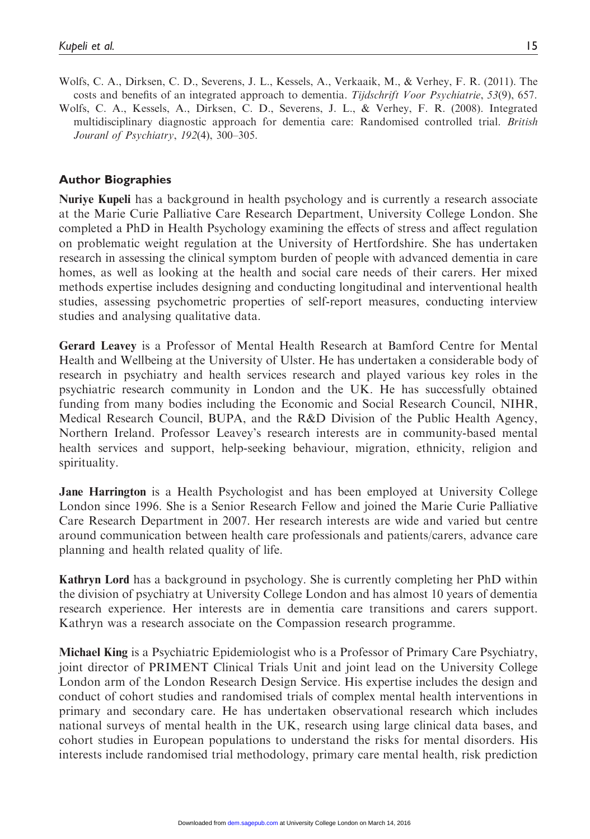- Wolfs, C. A., Dirksen, C. D., Severens, J. L., Kessels, A., Verkaaik, M., & Verhey, F. R. (2011). The costs and benefits of an integrated approach to dementia. Tijdschrift Voor Psychiatrie, 53(9), 657.
- Wolfs, C. A., Kessels, A., Dirksen, C. D., Severens, J. L., & Verhey, F. R. (2008). Integrated multidisciplinary diagnostic approach for dementia care: Randomised controlled trial. British Jouranl of Psychiatry, 192(4), 300–305.

#### Author Biographies

Nuriye Kupeli has a background in health psychology and is currently a research associate at the Marie Curie Palliative Care Research Department, University College London. She completed a PhD in Health Psychology examining the effects of stress and affect regulation on problematic weight regulation at the University of Hertfordshire. She has undertaken research in assessing the clinical symptom burden of people with advanced dementia in care homes, as well as looking at the health and social care needs of their carers. Her mixed methods expertise includes designing and conducting longitudinal and interventional health studies, assessing psychometric properties of self-report measures, conducting interview studies and analysing qualitative data.

Gerard Leavey is a Professor of Mental Health Research at Bamford Centre for Mental Health and Wellbeing at the University of Ulster. He has undertaken a considerable body of research in psychiatry and health services research and played various key roles in the psychiatric research community in London and the UK. He has successfully obtained funding from many bodies including the Economic and Social Research Council, NIHR, Medical Research Council, BUPA, and the R&D Division of the Public Health Agency, Northern Ireland. Professor Leavey's research interests are in community-based mental health services and support, help-seeking behaviour, migration, ethnicity, religion and spirituality.

**Jane Harrington** is a Health Psychologist and has been employed at University College London since 1996. She is a Senior Research Fellow and joined the Marie Curie Palliative Care Research Department in 2007. Her research interests are wide and varied but centre around communication between health care professionals and patients/carers, advance care planning and health related quality of life.

Kathryn Lord has a background in psychology. She is currently completing her PhD within the division of psychiatry at University College London and has almost 10 years of dementia research experience. Her interests are in dementia care transitions and carers support. Kathryn was a research associate on the Compassion research programme.

Michael King is a Psychiatric Epidemiologist who is a Professor of Primary Care Psychiatry, joint director of PRIMENT Clinical Trials Unit and joint lead on the University College London arm of the London Research Design Service. His expertise includes the design and conduct of cohort studies and randomised trials of complex mental health interventions in primary and secondary care. He has undertaken observational research which includes national surveys of mental health in the UK, research using large clinical data bases, and cohort studies in European populations to understand the risks for mental disorders. His interests include randomised trial methodology, primary care mental health, risk prediction